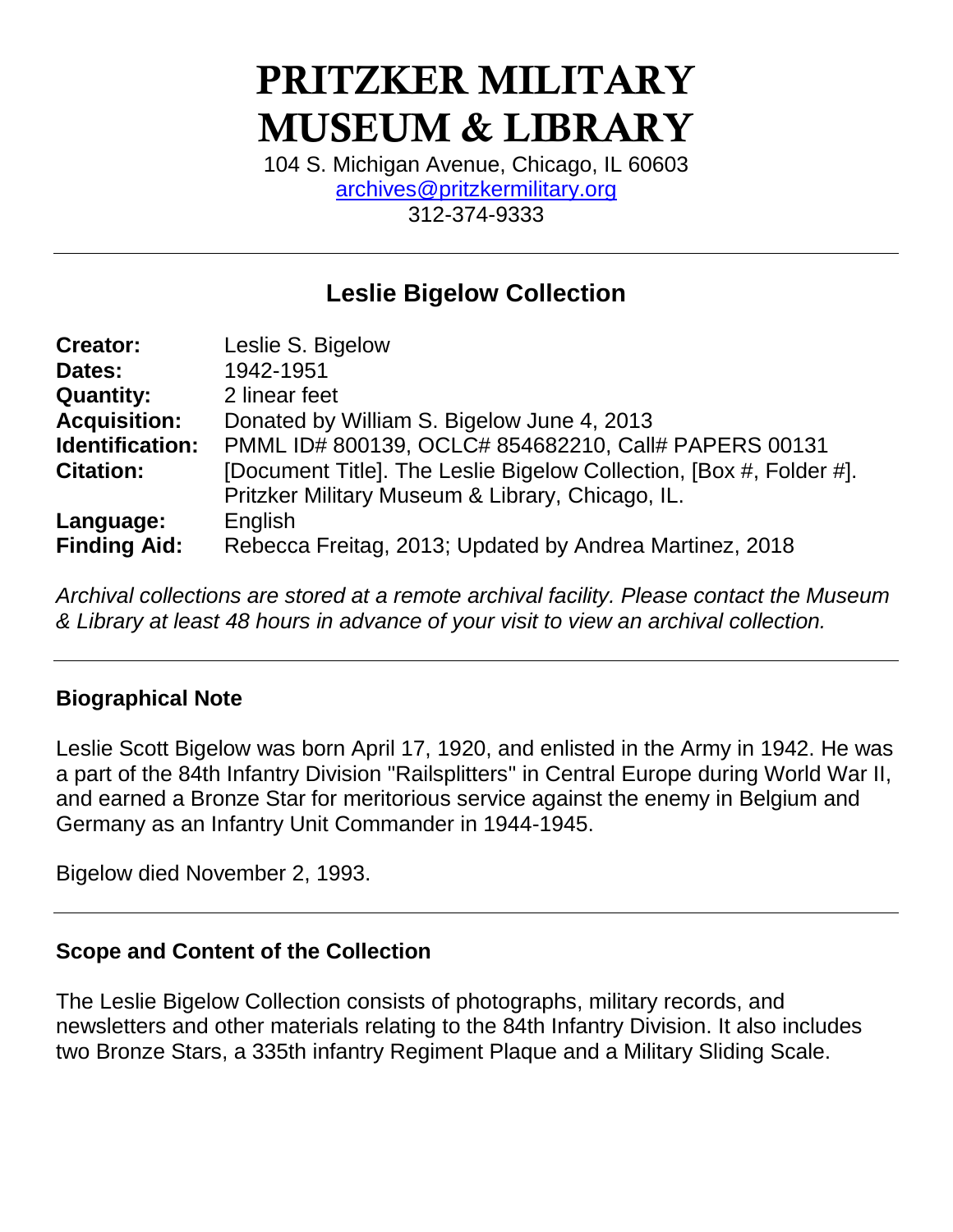# **PRITZKER MILITARY MUSEUM & LIBRARY**

104 S. Michigan Avenue, Chicago, IL 60603 [archives@pritzkermilitary.org](mailto:archives@pritzkermilitary.org) 312-374-9333

## **Leslie Bigelow Collection**

| <b>Creator:</b>     | Leslie S. Bigelow                                                   |
|---------------------|---------------------------------------------------------------------|
| Dates:              | 1942-1951                                                           |
| <b>Quantity:</b>    | 2 linear feet                                                       |
| <b>Acquisition:</b> | Donated by William S. Bigelow June 4, 2013                          |
| Identification:     | PMML ID# 800139, OCLC# 854682210, Call# PAPERS 00131                |
| <b>Citation:</b>    | [Document Title]. The Leslie Bigelow Collection, [Box #, Folder #]. |
|                     | Pritzker Military Museum & Library, Chicago, IL.                    |
| Language:           | English                                                             |
| <b>Finding Aid:</b> | Rebecca Freitag, 2013; Updated by Andrea Martinez, 2018             |

*Archival collections are stored at a remote archival facility. Please contact the Museum & Library at least 48 hours in advance of your visit to view an archival collection.*

#### **Biographical Note**

Leslie Scott Bigelow was born April 17, 1920, and enlisted in the Army in 1942. He was a part of the 84th Infantry Division "Railsplitters" in Central Europe during World War II, and earned a Bronze Star for meritorious service against the enemy in Belgium and Germany as an Infantry Unit Commander in 1944-1945.

Bigelow died November 2, 1993.

## **Scope and Content of the Collection**

The Leslie Bigelow Collection consists of photographs, military records, and newsletters and other materials relating to the 84th Infantry Division. It also includes two Bronze Stars, a 335th infantry Regiment Plaque and a Military Sliding Scale.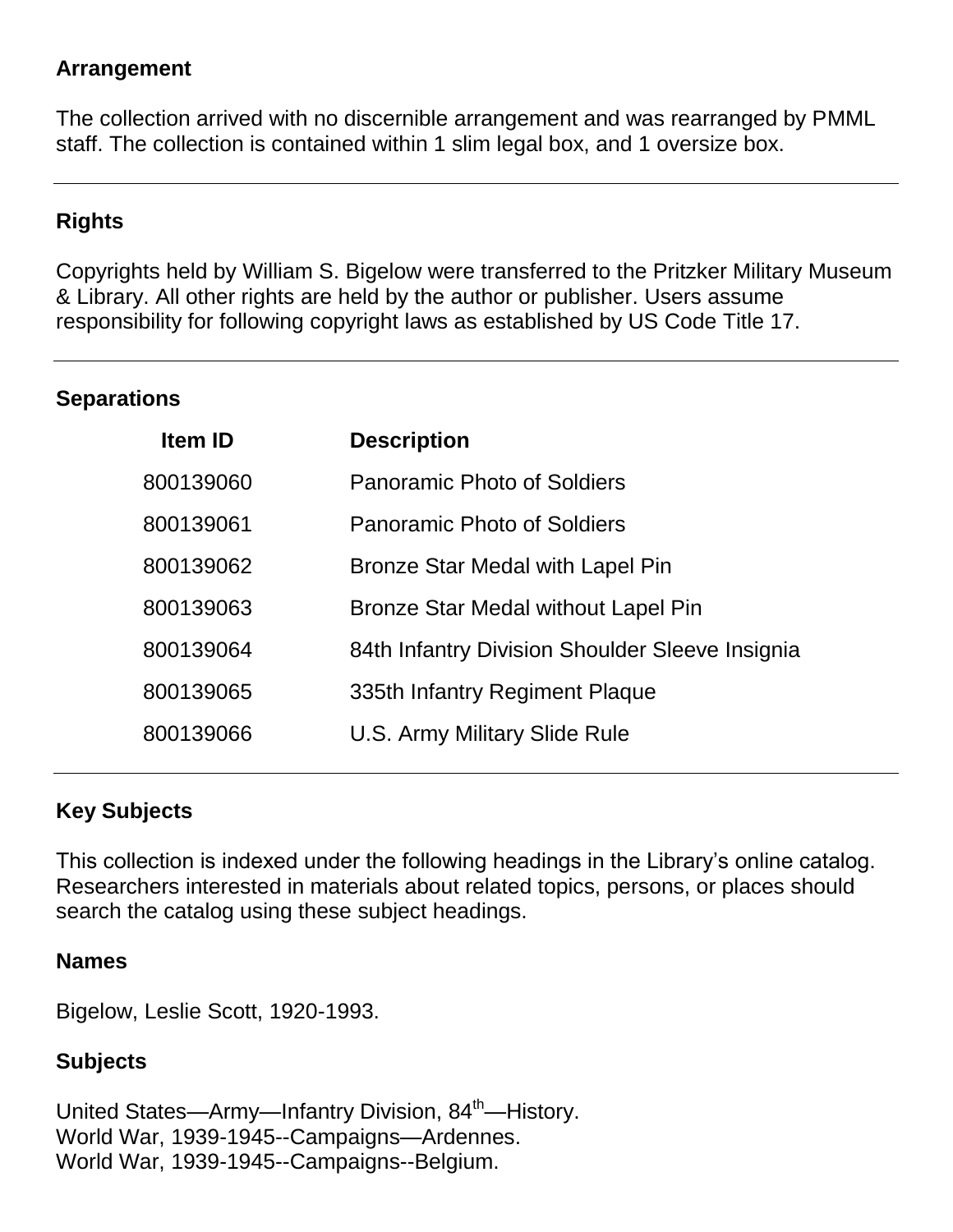## **Arrangement**

The collection arrived with no discernible arrangement and was rearranged by PMML staff. The collection is contained within 1 slim legal box, and 1 oversize box.

## **Rights**

Copyrights held by William S. Bigelow were transferred to the Pritzker Military Museum & Library. All other rights are held by the author or publisher. Users assume responsibility for following copyright laws as established by US Code Title 17.

#### **Separations**

| <b>Item ID</b> | <b>Description</b>                              |
|----------------|-------------------------------------------------|
| 800139060      | <b>Panoramic Photo of Soldiers</b>              |
| 800139061      | <b>Panoramic Photo of Soldiers</b>              |
| 800139062      | Bronze Star Medal with Lapel Pin                |
| 800139063      | Bronze Star Medal without Lapel Pin             |
| 800139064      | 84th Infantry Division Shoulder Sleeve Insignia |
| 800139065      | 335th Infantry Regiment Plaque                  |
| 800139066      | U.S. Army Military Slide Rule                   |

## **Key Subjects**

This collection is indexed under the following headings in the Library's online catalog. Researchers interested in materials about related topics, persons, or places should search the catalog using these subject headings.

#### **Names**

Bigelow, Leslie Scott, 1920-1993.

## **Subjects**

United States—Army—Infantry Division, 84<sup>th</sup>—History. World War, 1939-1945--Campaigns—Ardennes. World War, 1939-1945--Campaigns--Belgium.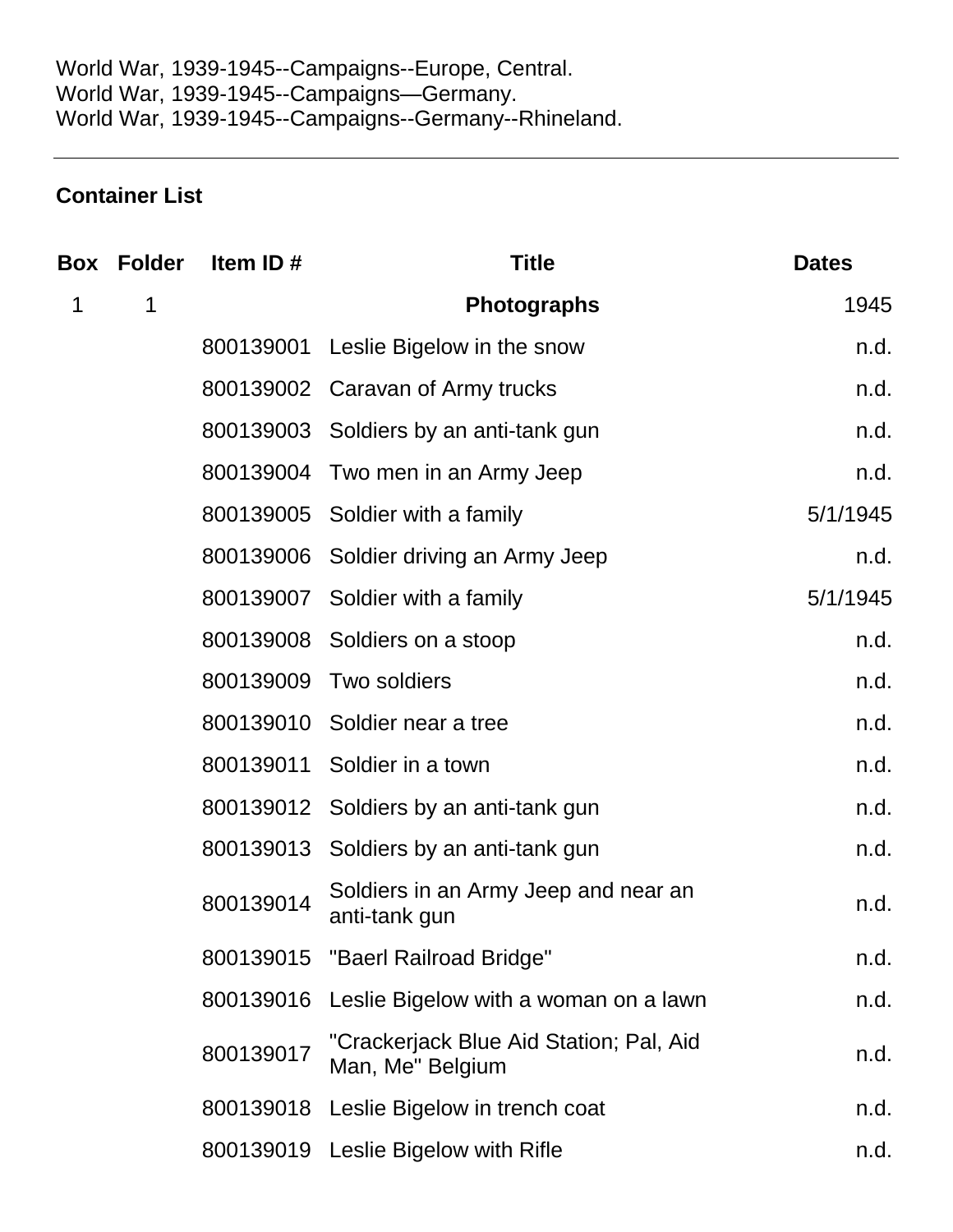## **Container List**

|   | <b>Box Folder</b> | Item ID#  | <b>Title</b>                                                | <b>Dates</b> |
|---|-------------------|-----------|-------------------------------------------------------------|--------------|
| 1 | 1                 |           | <b>Photographs</b>                                          | 1945         |
|   |                   |           | 800139001 Leslie Bigelow in the snow                        | n.d.         |
|   |                   |           | 800139002 Caravan of Army trucks                            | n.d.         |
|   |                   |           | 800139003 Soldiers by an anti-tank gun                      | n.d.         |
|   |                   |           | 800139004 Two men in an Army Jeep                           | n.d.         |
|   |                   |           | 800139005 Soldier with a family                             | 5/1/1945     |
|   |                   |           | 800139006 Soldier driving an Army Jeep                      | n.d.         |
|   |                   |           | 800139007 Soldier with a family                             | 5/1/1945     |
|   |                   |           | 800139008 Soldiers on a stoop                               | n.d.         |
|   |                   |           | 800139009 Two soldiers                                      | n.d.         |
|   |                   |           | 800139010 Soldier near a tree                               | n.d.         |
|   |                   | 800139011 | Soldier in a town                                           | n.d.         |
|   |                   |           | 800139012 Soldiers by an anti-tank gun                      | n.d.         |
|   |                   |           | 800139013 Soldiers by an anti-tank gun                      | n.d.         |
|   |                   | 800139014 | Soldiers in an Army Jeep and near an<br>anti-tank gun       | n.d.         |
|   |                   |           | 800139015 "Baerl Railroad Bridge"                           | n.d.         |
|   |                   | 800139016 | Leslie Bigelow with a woman on a lawn                       | n.d.         |
|   |                   | 800139017 | "Crackerjack Blue Aid Station; Pal, Aid<br>Man, Me" Belgium | n.d.         |
|   |                   |           | 800139018 Leslie Bigelow in trench coat                     | n.d.         |
|   |                   |           | 800139019 Leslie Bigelow with Rifle                         | n.d.         |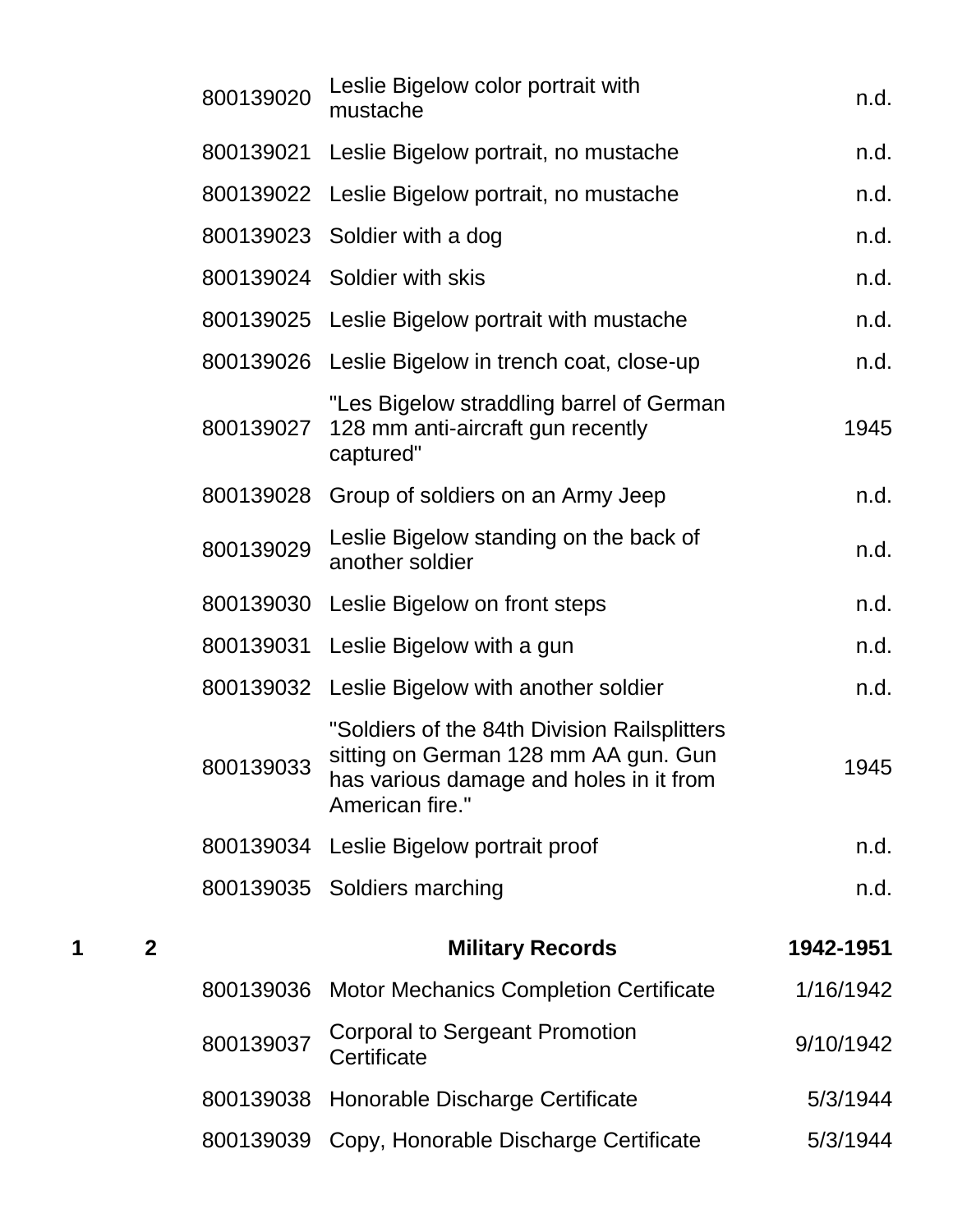|   |              | 800139020 | Leslie Bigelow color portrait with<br>mustache                                                                                                     | n.d.      |
|---|--------------|-----------|----------------------------------------------------------------------------------------------------------------------------------------------------|-----------|
|   |              |           | 800139021 Leslie Bigelow portrait, no mustache                                                                                                     | n.d.      |
|   |              |           | 800139022 Leslie Bigelow portrait, no mustache                                                                                                     | n.d.      |
|   |              |           | 800139023 Soldier with a dog                                                                                                                       | n.d.      |
|   |              |           | 800139024 Soldier with skis                                                                                                                        | n.d.      |
|   |              |           | 800139025 Leslie Bigelow portrait with mustache                                                                                                    | n.d.      |
|   |              |           | 800139026 Leslie Bigelow in trench coat, close-up                                                                                                  | n.d.      |
|   |              | 800139027 | "Les Bigelow straddling barrel of German<br>128 mm anti-aircraft gun recently<br>captured"                                                         | 1945      |
|   |              |           | 800139028 Group of soldiers on an Army Jeep                                                                                                        | n.d.      |
|   |              | 800139029 | Leslie Bigelow standing on the back of<br>another soldier                                                                                          | n.d.      |
|   |              |           | 800139030 Leslie Bigelow on front steps                                                                                                            | n.d.      |
|   |              |           | 800139031 Leslie Bigelow with a gun                                                                                                                | n.d.      |
|   |              |           | 800139032 Leslie Bigelow with another soldier                                                                                                      | n.d.      |
|   |              | 800139033 | "Soldiers of the 84th Division Railsplitters<br>sitting on German 128 mm AA gun. Gun<br>has various damage and holes in it from<br>American fire." | 1945      |
|   |              |           | 800139034 Leslie Bigelow portrait proof                                                                                                            | n.d.      |
|   |              |           | 800139035 Soldiers marching                                                                                                                        | n.d.      |
| 1 | $\mathbf{2}$ |           | <b>Military Records</b>                                                                                                                            | 1942-1951 |
|   |              | 800139036 | <b>Motor Mechanics Completion Certificate</b>                                                                                                      | 1/16/1942 |
|   |              | 800139037 | <b>Corporal to Sergeant Promotion</b><br>Certificate                                                                                               | 9/10/1942 |
|   |              | 800139038 | Honorable Discharge Certificate                                                                                                                    | 5/3/1944  |
|   |              |           | 800139039 Copy, Honorable Discharge Certificate                                                                                                    | 5/3/1944  |